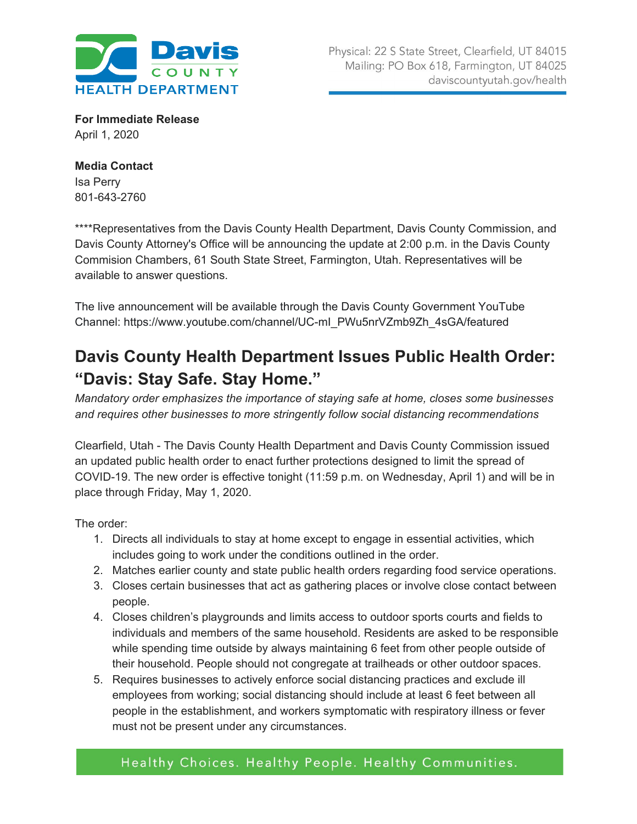

**For Immediate Release** April 1, 2020

## **Media Contact** Isa Perry 801-643-2760

\*\*\*\*Representatives from the Davis County Health Department, Davis County Commission, and Davis County Attorney's Office will be announcing the update at 2:00 p.m. in the Davis County Commision Chambers, 61 South State Street, Farmington, Utah. Representatives will be available to answer questions.

The live announcement will be available through the Davis County Government YouTube Channel: https://www.youtube.com/channel/UC-mI\_PWu5nrVZmb9Zh\_4sGA/featured

## **Davis County Health Department Issues Public Health Order: "Davis: Stay Safe. Stay Home."**

*Mandatory order emphasizes the importance of staying safe at home, closes some businesses and requires other businesses to more stringently follow social distancing recommendations*

Clearfield, Utah - The Davis County Health Department and Davis County Commission issued an updated public health order to enact further protections designed to limit the spread of COVID-19. The new order is effective tonight (11:59 p.m. on Wednesday, April 1) and will be in place through Friday, May 1, 2020.

The order:

- 1. Directs all individuals to stay at home except to engage in essential activities, which includes going to work under the conditions outlined in the order.
- 2. Matches earlier county and state public health orders regarding food service operations.
- 3. Closes certain businesses that act as gathering places or involve close contact between people.
- 4. Closes children's playgrounds and limits access to outdoor sports courts and fields to individuals and members of the same household. Residents are asked to be responsible while spending time outside by always maintaining 6 feet from other people outside of their household. People should not congregate at trailheads or other outdoor spaces.
- 5. Requires businesses to actively enforce social distancing practices and exclude ill employees from working; social distancing should include at least 6 feet between all people in the establishment, and workers symptomatic with respiratory illness or fever must not be present under any circumstances.

## Healthy Choices. Healthy People. Healthy Communities.